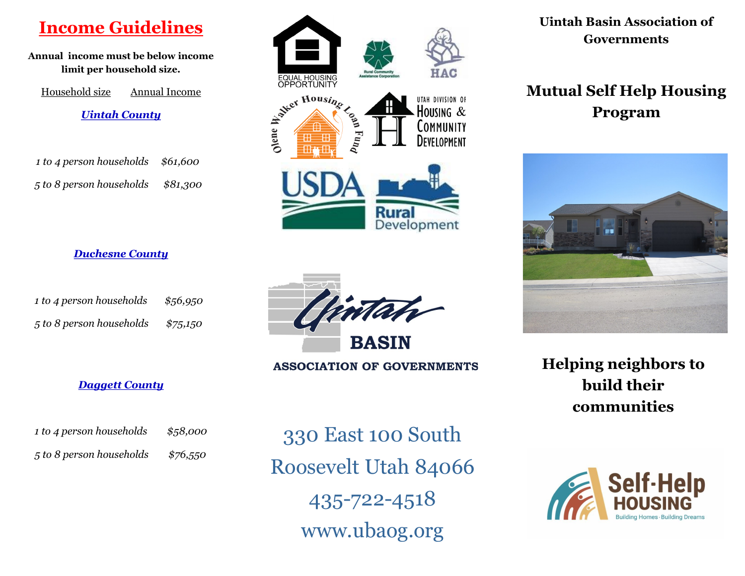# **Income Guidelines**

**Annual income must be below income limit per household size.**

Household size Annual Income *Uintah County*

| 1 to 4 person households \$61,600 |          |
|-----------------------------------|----------|
| 5 to 8 person households          | \$81,300 |

*Duchesne County*

 *1 to 4 person households \$56,950*

 *5 to 8 person households \$75,150*

# EQUAL HOUSING<br>OPPORTUNITY Next Housing UTAH DIVISION OF HOUSING  $&$ **OMMUNITY DEVELOPMENT Rural** Development

**Uintah Basin Association of Governments** 

# **Mutual Self Help Housing Program**



**Helping neighbors to build their communities**





**ASSOCIATION OF GOVERNMENTS** 

#### *Daggett County*

| 1 to 4 person households | \$58,000 |
|--------------------------|----------|
| 5 to 8 person households | \$76,550 |

330 East 100 South Roosevelt Utah 84066 435-722-4518 www.ubaog.org